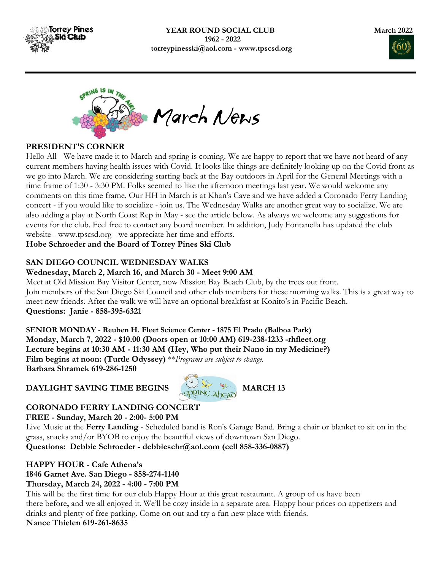





#### PRESIDENT'S CORNER

Hello All - We have made it to March and spring is coming. We are happy to report that we have not heard of any current members having health issues with Covid. It looks like things are definitely looking up on the Covid front as we go into March. We are considering starting back at the Bay outdoors in April for the General Meetings with a time frame of 1:30 - 3:30 PM. Folks seemed to like the afternoon meetings last year. We would welcome any comments on this time frame. Our HH in March is at Khan's Cave and we have added a Coronado Ferry Landing concert - if you would like to socialize - join us. The Wednesday Walks are another great way to socialize. We are also adding a play at North Coast Rep in May - see the article below. As always we welcome any suggestions for events for the club. Feel free to contact any board member. In addition, Judy Fontanella has updated the club website - www.tpscsd.org - we appreciate her time and efforts.

Hobe Schroeder and the Board of Torrey Pines Ski Club

### SAN DIEGO COUNCIL WEDNESDAY WALKS

#### Wednesday, March 2, March 16, and March 30 - Meet 9:00 AM

Meet at Old Mission Bay Visitor Center, now Mission Bay Beach Club, by the trees out front. Join members of the San Diego Ski Council and other club members for these morning walks. This is a great way to meet new friends. After the walk we will have an optional breakfast at Konito's in Pacific Beach. Questions: Janie - 858-395-6321

SENIOR MONDAY - Reuben H. Fleet Science Center - 1875 El Prado (Balboa Park) Monday, March 7, 2022 - \$10.00 (Doors open at 10:00 AM) 619-238-1233 -rhfleet.org Lecture begins at 10:30 AM - 11:30 AM (Hey, Who put their Nano in my Medicine?) Film begins at noon: (Turtle Odyssey) \*\* Programs are subject to change. Barbara Shramek 619-286-1250

## DAYLIGHT SAVING TIME BEGINS MARCH 13



# CORONADO FERRY LANDING CONCERT

FREE - Sunday, March 20 - 2:00- 5:00 PM

Live Music at the Ferry Landing - Scheduled band is Ron's Garage Band. Bring a chair or blanket to sit on in the grass, snacks and/or BYOB to enjoy the beautiful views of downtown San Diego.

Questions: Debbie Schroeder - debbieschr@aol.com (cell 858-336-0887)

#### HAPPY HOUR - Cafe Athena's 1846 Garnet Ave. San Diego - 858-274-1140 Thursday, March 24, 2022 - 4:00 - 7:00 PM

This will be the first time for our club Happy Hour at this great restaurant. A group of us have been there before, and we all enjoyed it. We'll be cozy inside in a separate area. Happy hour prices on appetizers and drinks and plenty of free parking. Come on out and try a fun new place with friends. Nance Thielen 619-261-8635